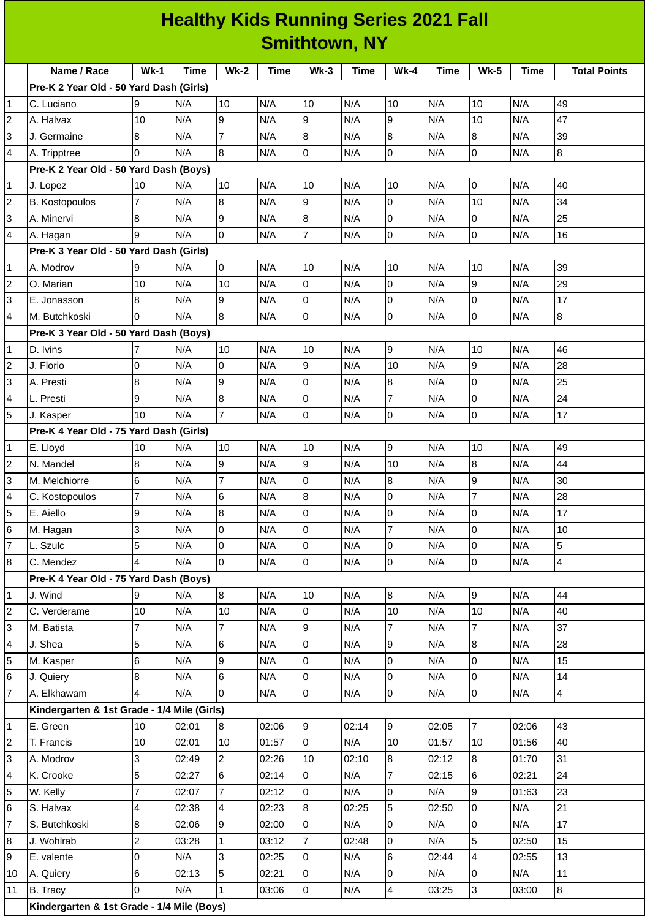| <b>Healthy Kids Running Series 2021 Fall</b> |  |  |  |  |  |  |  |  |
|----------------------------------------------|--|--|--|--|--|--|--|--|
| <b>Smithtown, NY</b>                         |  |  |  |  |  |  |  |  |

|                | Name / Race                                 | $Wk-1$         | Time  | <b>Wk-2</b>    | <b>Time</b> | Wk-3             | <b>Time</b> | Wk-4           | <b>Time</b> | <b>Wk-5</b>      | Time  | <b>Total Points</b> |
|----------------|---------------------------------------------|----------------|-------|----------------|-------------|------------------|-------------|----------------|-------------|------------------|-------|---------------------|
|                | Pre-K 2 Year Old - 50 Yard Dash (Girls)     |                |       |                |             |                  |             |                |             |                  |       |                     |
| 1              | C. Luciano                                  | 9              | N/A   | 10             | N/A         | 10               | N/A         | 10             | N/A         | 10               | N/A   | 49                  |
| 2              | A. Halvax                                   | 10             | N/A   | 9              | N/A         | 9                | N/A         | 9              | N/A         | 10               | N/A   | 47                  |
| 3              | J. Germaine                                 | 8              | N/A   | 7              | N/A         | $\bf{8}$         | N/A         | 8              | N/A         | 8                | N/A   | 39                  |
| 4              | A. Tripptree                                | $\Omega$       | N/A   | 8              | N/A         | $\mathsf{O}$     | N/A         | 0              | N/A         | 0                | N/A   | 8                   |
|                | Pre-K 2 Year Old - 50 Yard Dash (Boys)      |                |       |                |             |                  |             |                |             |                  |       |                     |
| 1              | J. Lopez                                    | 10             | N/A   | 10             | N/A         | 10               | N/A         | 10             | N/A         | 0                | N/A   | 40                  |
| $\overline{c}$ | <b>B. Kostopoulos</b>                       | 7              | N/A   | $\, 8$         | N/A         | 9                | N/A         | $\overline{0}$ | N/A         | 10               | N/A   | 34                  |
| 3              | A. Minervi                                  | 8              | N/A   | 9              | N/A         | $\bf 8$          | N/A         | 0              | N/A         | 0                | N/A   | 25                  |
| 4              | A. Hagan                                    | 9              | N/A   | 0              | N/A         | 7                | N/A         | $\overline{0}$ | N/A         | 0                | N/A   | 16                  |
|                | Pre-K 3 Year Old - 50 Yard Dash (Girls)     |                |       |                |             |                  |             |                |             |                  |       |                     |
| 1              | A. Modrov                                   | 9              | N/A   | O              | N/A         | 10               | N/A         | 10             | N/A         | 10               | N/A   | 39                  |
| 2              | O. Marian                                   | 10             | N/A   | 10             | N/A         | $\mathsf 0$      | N/A         | $\overline{0}$ | N/A         | 9                | N/A   | 29                  |
| 3              | E. Jonasson                                 | 8              | N/A   | 9              | N/A         | 0                | N/A         | 0              | N/A         | 0                | N/A   | 17                  |
| 4              | M. Butchkoski                               | $\Omega$       | N/A   | 8              | N/A         | $\mathsf 0$      | N/A         | 0              | N/A         | 0                | N/A   | 8                   |
|                | Pre-K 3 Year Old - 50 Yard Dash (Boys)      |                |       |                |             |                  |             |                |             |                  |       |                     |
| 1              | D. Ivins                                    | 7              | N/A   | 10             | N/A         | 10               | N/A         | 9              | N/A         | 10               | N/A   | 46                  |
| 2              | J. Florio                                   | 0              | N/A   | 0              | N/A         | 9                | N/A         | 10             | N/A         | 9                | N/A   | 28                  |
| 3              | A. Presti                                   | 8              | N/A   | 9              | N/A         | $\mathsf 0$      | N/A         | 8              | N/A         | 0                | N/A   | 25                  |
| 4              | L. Presti                                   | 9              | N/A   | 8              | N/A         | 0                | N/A         | 7              | N/A         | 0                | N/A   | 24                  |
| 5              | J. Kasper                                   | 10             | N/A   | $\overline{7}$ | N/A         | $\mathsf{O}$     | N/A         | 0              | N/A         | 0                | N/A   | 17                  |
|                | Pre-K 4 Year Old - 75 Yard Dash (Girls)     |                |       |                |             |                  |             |                |             |                  |       |                     |
| 1              | E. Lloyd                                    | 10             | N/A   | 10             | N/A         | 10               | N/A         | 9              | N/A         | 10               | N/A   | 49                  |
| 2              | N. Mandel                                   | 8              | N/A   | 9              | N/A         | 9                | N/A         | 10             | N/A         | $\boldsymbol{8}$ | N/A   | 44                  |
| 3              | M. Melchiorre                               | 6              | N/A   | $\overline{7}$ | N/A         | 0                | N/A         | 8              | N/A         | 9                | N/A   | 30                  |
| 4              | C. Kostopoulos                              | $\overline{7}$ | N/A   | 6              | N/A         | $\overline{8}$   | N/A         | 0              | N/A         | $\overline{7}$   | N/A   | 28                  |
| 5              | E. Aiello                                   | 9              | N/A   | 8              | N/A         | 0                | N/A         | 0              | N/A         | 0                | N/A   | 17                  |
| 6              | M. Hagan                                    | 3              | N/A   | 0              | N/A         | 0                | N/A         | 7              | N/A         | 0                | N/A   | 10                  |
| $\overline{7}$ | L. Szulc                                    | 5              | N/A   | 0              | N/A         | 0                | N/A         | 0              | N/A         | 0                | N/A   | 5                   |
| 8              | C. Mendez                                   | 4              | N/A   | O              | N/A         | $\overline{0}$   | N/A         | $\overline{0}$ | N/A         | $\overline{0}$   | N/A   | $\overline{4}$      |
|                | Pre-K 4 Year Old - 75 Yard Dash (Boys)      |                |       |                |             |                  |             |                |             |                  |       |                     |
| 1              | J. Wind                                     | 9              | N/A   | 8              | N/A         | 10               | N/A         | $8\,$          | N/A         | 9                | N/A   | 44                  |
| 2              | C. Verderame                                | 10             | N/A   | 10             | N/A         | $\mathsf 0$      | N/A         | 10             | N/A         | 10               | N/A   | 40                  |
| 3              | M. Batista                                  | $\overline{7}$ | N/A   | 7              | N/A         | 9                | N/A         | $\overline{7}$ | N/A         | $\overline{7}$   | N/A   | 37                  |
| 4              | J. Shea                                     | 5              | N/A   | 6              | N/A         | $\pmb{0}$        | N/A         | 9              | N/A         | 8                | N/A   | 28                  |
| 5              | M. Kasper                                   | 6              | N/A   | 9              | N/A         | 0                | N/A         | $\overline{0}$ | N/A         | 0                | N/A   | 15                  |
| 6              | J. Quiery                                   | 8              | N/A   | 6              | N/A         | $\mathsf 0$      | N/A         | $\overline{0}$ | N/A         | 0                | N/A   | 14                  |
| $\overline{7}$ | A. Elkhawam                                 | 4              | N/A   | 0              | N/A         | $\overline{0}$   | N/A         | $\overline{0}$ | N/A         | $\overline{0}$   | N/A   | $\overline{4}$      |
|                | Kindergarten & 1st Grade - 1/4 Mile (Girls) |                |       |                |             |                  |             |                |             |                  |       |                     |
| 1              | E. Green                                    | 10             | 02:01 | 8              | 02:06       | 9                | 02:14       | $\overline{9}$ | 02:05       | $\overline{7}$   | 02:06 | 43                  |
| 2              | T. Francis                                  | 10             | 02:01 | 10             | 01:57       | $\pmb{0}$        | N/A         | 10             | 01:57       | 10               | 01:56 | 40                  |
| 3              | A. Modrov                                   | 3              | 02:49 | $\overline{2}$ | 02:26       | 10               | 02:10       | $8\,$          | 02:12       | $8\,$            | 01:70 | 31                  |
| 4              | K. Crooke                                   | 5              | 02:27 | 6              | 02:14       | 0                | N/A         | $\overline{7}$ | 02:15       | 6                | 02:21 | 24                  |
| 5              | W. Kelly                                    | $\overline{7}$ | 02:07 | 7              | 02:12       | 0                | N/A         | $\overline{0}$ | N/A         | 9                | 01:63 | 23                  |
| 6              | S. Halvax                                   | 4              | 02:38 | 4              | 02:23       | $\boldsymbol{8}$ | 02:25       | 5              | 02:50       | 0                | N/A   | 21                  |
| 7              | S. Butchkoski                               | 8              | 02:06 | 9              | 02:00       | 0                | N/A         | 0              | N/A         | $\overline{0}$   | N/A   | 17                  |
| 8              | J. Wohlrab                                  | $\overline{c}$ | 03:28 | $\mathbf{1}$   | 03:12       | 7                | 02:48       | 0              | N/A         | 5                | 02:50 | 15                  |
| 9              | E. valente                                  | 0              | N/A   | 3              | 02:25       | 0                | N/A         | 6              | 02:44       | 4                | 02:55 | 13                  |
| 10             | A. Quiery                                   | 6              | 02:13 | 5              | 02:21       | 0                | N/A         | 0              | N/A         | 0                | N/A   | 11                  |
| 11             | B. Tracy                                    | $\overline{0}$ | N/A   | $\mathbf{1}$   | 03:06       | 0                | N/A         | 4              | 03:25       | 3                | 03:00 | 8                   |
|                | Kindergarten & 1st Grade - 1/4 Mile (Boys)  |                |       |                |             |                  |             |                |             |                  |       |                     |
|                |                                             |                |       |                |             |                  |             |                |             |                  |       |                     |